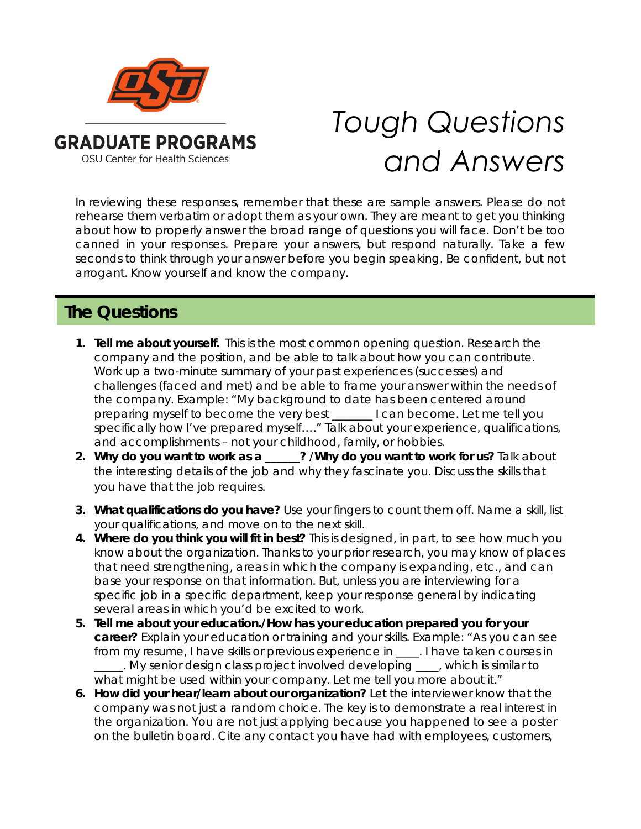

## *Tough Questions and Answers*

In reviewing these responses, remember that these are sample answers. Please do not rehearse them verbatim or adopt them as your own. They are meant to get you thinking about how to properly answer the broad range of questions you will face. Don't be too canned in your responses. Prepare your answers, but respond naturally. Take a few seconds to think through your answer before you begin speaking. Be confident, but not arrogant. Know yourself and know the company.

## **The Questions**

- **1. Tell me about yourself.** This is the most common opening question. Research the company and the position, and be able to talk about how you can contribute. Work up a two-minute summary of your past experiences (successes) and challenges (faced and met) and be able to frame your answer within the needs of the company. Example: "My background to date has been centered around preparing myself to become the very best \_\_\_\_\_\_\_ I can become. Let me tell you specifically how I've prepared myself…." Talk about your experience, qualifications, and accomplishments – not your childhood, family, or hobbies.
- **2. Why do you want to work as a \_\_\_\_\_\_?** /**Why do you want to work for us?** Talk about the interesting details of the job and why they fascinate you. Discuss the skills that you have that the job requires.
- **3. What qualifications do you have?** Use your fingers to count them off. Name a skill, list your qualifications, and move on to the next skill.
- **4. Where do you think you will fit in best?** This is designed, in part, to see how much you know about the organization. Thanks to your prior research, you may know of places that need strengthening, areas in which the company is expanding, etc., and can base your response on that information. But, unless you are interviewing for a specific job in a specific department, keep your response general by indicating several areas in which you'd be excited to work.
- **5. Tell me about your education./How has your education prepared you for your career?** Explain your education or training and your skills. Example: "As you can see from my resume, I have skills or previous experience in \_\_\_\_. I have taken courses in \_\_\_\_\_. My senior design class project involved developing \_\_\_\_, which is similar to what might be used within your company. Let me tell you more about it."
- **6. How did your hear/learn about our organization?** Let the interviewer know that the company was not just a random choice. The key is to demonstrate a real interest in the organization. You are not just applying because you happened to see a poster on the bulletin board. Cite any contact you have had with employees, customers,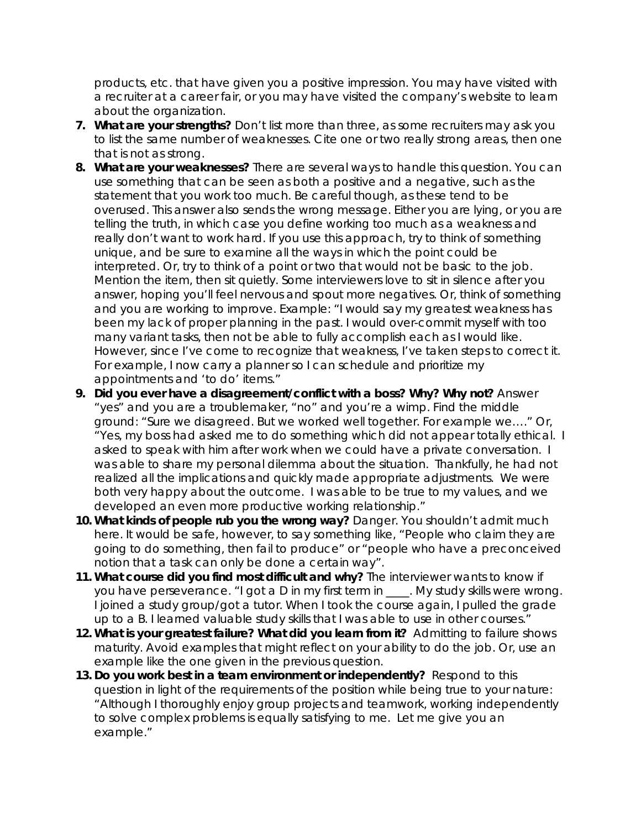products, etc. that have given you a positive impression. You may have visited with a recruiter at a career fair, or you may have visited the company's website to learn about the organization.

- **7. What are your strengths?** Don't list more than three, as some recruiters may ask you to list the same number of weaknesses. Cite one or two really strong areas, then one that is not as strong.
- **8. What are your weaknesses?** There are several ways to handle this question. You can use something that can be seen as both a positive and a negative, such as the statement that you work too much. Be careful though, as these tend to be overused. This answer also sends the wrong message. Either you are lying, or you are telling the truth, in which case you define working too much as a weakness and really don't want to work hard. If you use this approach, try to think of something unique, and be sure to examine all the ways in which the point could be interpreted. Or, try to think of a point or two that would not be basic to the job. Mention the item, then sit quietly. Some interviewers love to sit in silence after you answer, hoping you'll feel nervous and spout more negatives. Or, think of something and you are working to improve. Example: "I would say my greatest weakness has been my lack of proper planning in the past. I would over-commit myself with too many variant tasks, then not be able to fully accomplish each as I would like. However, since I've come to recognize that weakness, I've taken steps to correct it. For example, I now carry a planner so I can schedule and prioritize my appointments and 'to do' items."
- **9. Did you ever have a disagreement/conflict with a boss? Why? Why not?** Answer "yes" and you are a troublemaker, "no" and you're a wimp. Find the middle ground: "Sure we disagreed. But we worked well together. For example we…." Or, "Yes, my boss had asked me to do something which did not appear totally ethical. I asked to speak with him after work when we could have a private conversation. I was able to share my personal dilemma about the situation. Thankfully, he had not realized all the implications and quickly made appropriate adjustments. We were both very happy about the outcome. I was able to be true to my values, and we developed an even more productive working relationship."
- **10. What kinds of people rub you the wrong way?** Danger. You shouldn't admit much here. It would be safe, however, to say something like, "People who claim they are going to do something, then fail to produce" or "people who have a preconceived notion that a task can only be done a certain way".
- **11. What course did you find most difficult and why?** The interviewer wants to know if you have perseverance. "I got a D in my first term in \_\_\_\_. My study skills were wrong. I joined a study group/got a tutor. When I took the course again, I pulled the grade up to a B. I learned valuable study skills that I was able to use in other courses."
- **12. What is your greatest failure? What did you learn from it?** Admitting to failure shows maturity. Avoid examples that might reflect on your ability to do the job. Or, use an example like the one given in the previous question.
- **13. Do you work best in a team environment or independently?** Respond to this question in light of the requirements of the position while being true to your nature: "Although I thoroughly enjoy group projects and teamwork, working independently to solve complex problems is equally satisfying to me. Let me give you an example."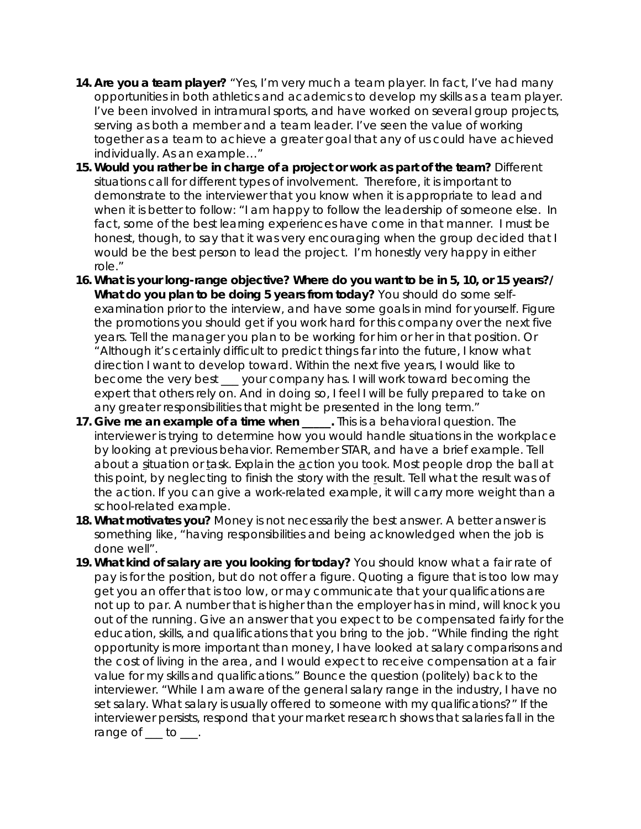- **14. Are you a team player?** "Yes, I'm very much a team player. In fact, I've had many opportunities in both athletics and academics to develop my skills as a team player. I've been involved in intramural sports, and have worked on several group projects, serving as both a member and a team leader. I've seen the value of working together as a team to achieve a greater goal that any of us could have achieved individually. As an example…"
- **15. Would you rather be in charge of a project or work as part of the team?** Different situations call for different types of involvement. Therefore, it is important to demonstrate to the interviewer that you know when it is appropriate to lead and when it is better to follow: "I am happy to follow the leadership of someone else. In fact, some of the best learning experiences have come in that manner. I must be honest, though, to say that it was very encouraging when the group decided that I would be the best person to lead the project. I'm honestly very happy in either role."
- **16. What is your long-range objective? Where do you want to be in 5, 10, or 15 years?/ What do you plan to be doing 5 years from today?** You should do some selfexamination prior to the interview, and have some goals in mind for yourself. Figure the promotions you should get if you work hard for this company over the next five years. Tell the manager you plan to be working for him or her in that position. Or "Although it's certainly difficult to predict things far into the future, I know what direction I want to develop toward. Within the next five years, I would like to become the very best \_\_\_ your company has. I will work toward becoming the expert that others rely on. And in doing so, I feel I will be fully prepared to take on any greater responsibilities that might be presented in the long term."
- **17. Give me an example of a time when interest in the student of the student of a time when** interviewer is trying to determine how you would handle situations in the workplace by looking at previous behavior. Remember STAR, and have a brief example. Tell about a situation or task. Explain the action you took. Most people drop the ball at this point, by neglecting to finish the story with the result. Tell what the result was of the action. If you can give a work-related example, it will carry more weight than a school-related example.
- **18. What motivates you?** Money is not necessarily the best answer. A better answer is something like, "having responsibilities and being acknowledged when the job is done well".
- **19. What kind of salary are you looking for today?** You should know what a fair rate of pay is for the position, but do not offer a figure. Quoting a figure that is too low may get you an offer that is too low, or may communicate that your qualifications are not up to par. A number that is higher than the employer has in mind, will knock you out of the running. Give an answer that you expect to be compensated fairly for the education, skills, and qualifications that you bring to the job. "While finding the right opportunity is more important than money, I have looked at salary comparisons and the cost of living in the area, and I would expect to receive compensation at a fair value for my skills and qualifications." Bounce the question (politely) back to the interviewer. "While I am aware of the general salary range in the industry, I have no set salary. What salary is usually offered to someone with my qualifications?" If the interviewer persists, respond that your market research shows that salaries fall in the range of \_\_\_ to \_\_\_.